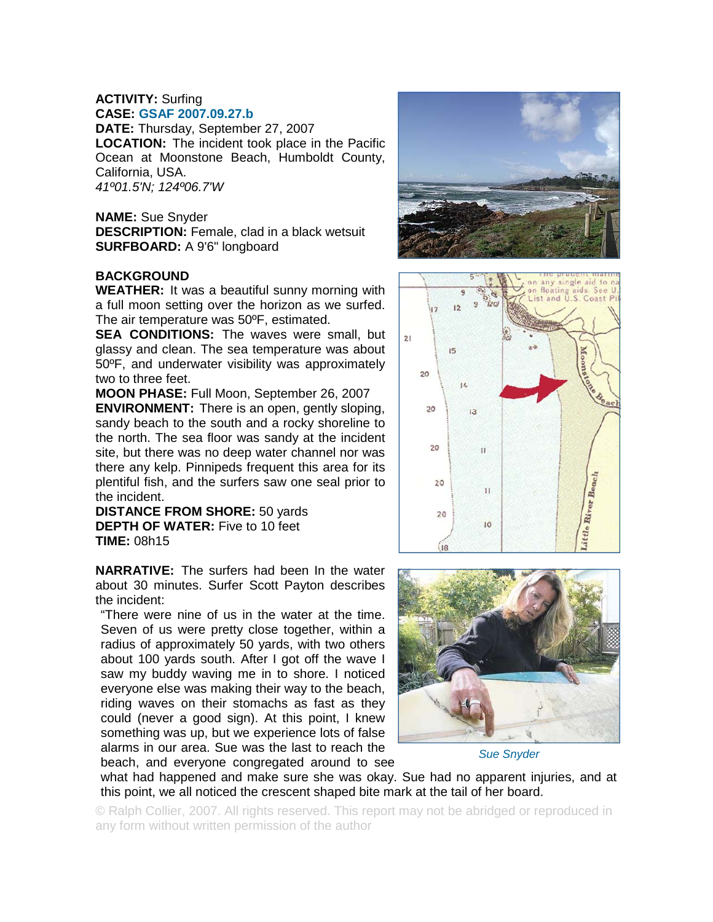## **ACTIVITY:** Surfing **CASE: GSAF 2007.09.27.b**

**DATE:** Thursday, September 27, 2007 **LOCATION:** The incident took place in the Pacific Ocean at Moonstone Beach, Humboldt County, California, USA. *41º01.5'N; 124º06.7'W*

**NAME:** Sue Snyder **DESCRIPTION:** Female, clad in a black wetsuit **SURFBOARD:** A 9'6" longboard

## **BACKGROUND**

**WEATHER:** It was a beautiful sunny morning with a full moon setting over the horizon as we surfed. The air temperature was 50ºF, estimated.

**SEA CONDITIONS:** The waves were small, but glassy and clean. The sea temperature was about 50ºF, and underwater visibility was approximately two to three feet.

**MOON PHASE:** Full Moon, September 26, 2007

**ENVIRONMENT:** There is an open, gently sloping, sandy beach to the south and a rocky shoreline to the north. The sea floor was sandy at the incident site, but there was no deep water channel nor was there any kelp. Pinnipeds frequent this area for its plentiful fish, and the surfers saw one seal prior to the incident.

**DISTANCE FROM SHORE:** 50 yards **DEPTH OF WATER:** Five to 10 feet **TIME:** 08h15

**NARRATIVE:** The surfers had been In the water about 30 minutes. Surfer Scott Payton describes the incident:

"There were nine of us in the water at the time. Seven of us were pretty close together, within a radius of approximately 50 yards, with two others about 100 yards south. After I got off the wave I saw my buddy waving me in to shore. I noticed everyone else was making their way to the beach, riding waves on their stomachs as fast as they could (never a good sign). At this point, I knew something was up, but we experience lots of false alarms in our area. Sue was the last to reach the beach, and everyone congregated around to see







*Sue Snyder* 

what had happened and make sure she was okay. Sue had no apparent injuries, and at this point, we all noticed the crescent shaped bite mark at the tail of her board.

© Ralph Collier, 2007. All rights reserved. This report may not be abridged or reproduced in any form without written permission of the author